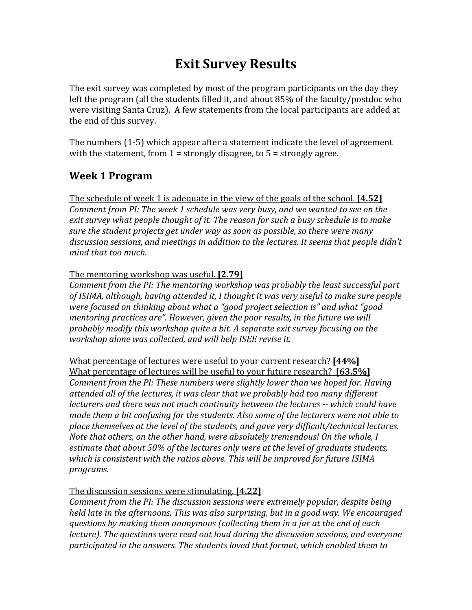# **Exit
Survey
Results**

The exit survey was completed by most of the program participants on the day they left the program (all the students filled it, and about 85% of the faculty/postdoc who were visiting Santa Cruz). A few statements from the local participants are added at the
end
of
this
survey.

The
numbers
(1‐5)
which
appear
after
a
statement
indicate
the
level
of
agreement with the statement, from  $1 =$  strongly disagree, to  $5 =$  strongly agree.

#### **Week
1
Program**

The schedule of week 1 is adequate in the view of the goals of the school. **[4.52]** Comment from PI: The week 1 schedule was very busy, and we wanted to see on the exit survey what people thought of it. The reason for such a busy schedule is to make *sure
the
student
projects
get
under
way
as
soon
as
possible,
so
there
were
many*  discussion sessions, and meetings in addition to the lectures. It seems that people didn't *mind
that
too
much.*

#### The
mentoring
workshop
was
useful. **[2.79]**

Comment from the PI: The mentoring workshop was probably the least successful part of *ISIMA, although, having attended it, I thought it was very useful to make sure people* were focused on thinking about what a "good project selection is" and what "good mentoring practices are". However, given the poor results, in the future we will *probably
modify
this
workshop
quite
a
bit.
A
separate
exit
survey
focusing
on
the*  workshop alone was collected, and will help ISEE revise it.

What percentage of lectures were useful to your current research? [44%] What percentage of lectures will be useful to your future research? **[63.5%]** Comment from the PI: These numbers were slightly lower than we hoped for. Having attended all of the lectures, it was clear that we probably had too many different lecturers and there was not much continuity between the lectures -- which could have made them a bit confusing for the students. Also some of the lecturers were not able to place themselves at the level of the students, and gave very difficult/technical lectures. Note that others, on the other hand, were absolutely tremendous! On the whole, I estimate that about 50% of the lectures only were at the level of graduate students, which is consistent with the ratios above. This will be improved for future *ISIMA programs.* 

#### The
discussion
sessions
were
stimulating. **[4.22]**

*Comment
from
the
PI:
The
discussion
sessions
were
extremely
popular,
despite
being*  held late in the afternoons. This was also surprising, but in a good way. We encouraged questions by making them anonymous (collecting them in a jar at the end of each lecture). The questions were read out loud during the discussion sessions, and everyone participated in the answers. The students loved that format, which enabled them to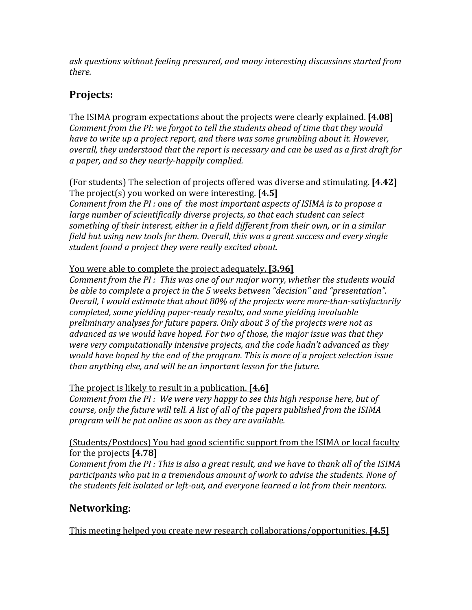*ask
questions
without
feeling
pressured,
and
many
interesting
discussions
started
from there.* 

### **Projects:**

The
ISIMA
program
expectations
about
the
projects
were
clearly
explained. **[4.08]** Comment from the PI: we forgot to tell the students ahead of time that they would have to write up a project report, and there was some grumbling about it. However, overall, they understood that the report is necessary and can be used as a first draft for *a
paper,
and
so
they
nearlyhappily
complied.* 

(For
students)
The
selection
of
projects
offered
was
diverse
and
stimulating. **[4.42]** The
project(s)
you
worked
on
were
interesting. **[4.5]** Comment from the PI : one of the most important aspects of *ISIMA* is to propose a large number of scientifically diverse projects, so that each student can select something of their interest, either in a field different from their own, or in a similar *field
but
using
new
tools
for
them.
Overall,
this
was
a
great
success
and
every
single student
found
a
project
they
were
really
excited
about.* 

#### You were able to complete the project adequately. **[3.96]**

Comment from the PI: This was one of our major worry, whether the students would be able to complete a project in the 5 weeks between "decision" and "presentation". Overall, I would estimate that about 80% of the projects were more-than-satisfactorily *completed,
some
yielding
paperready
results,
and
some
yielding
invaluable*  preliminary analyses for future papers. Only about 3 of the projects were not as *advanced
as
we
would
have
hoped.
For
two
of
those,
the
major
issue
was
that
they* were very computationally intensive projects, and the code hadn't advanced as they would have hoped by the end of the program. This is more of a project selection issue *than
anything
else,
and
will
be
an
important
lesson
for
the
future.* 

The
project
is
likely
to
result
in
a
publication. **[4.6]**

Comment from the PI : We were very happy to see this high response here, but of course, only the future will tell. A list of all of the papers published from the ISIMA *program
will
be
put
online
as
soon
as
they
are
available.*

#### (Students/Postdocs)
You
had
good
scientific
support
from
the
ISIMA or
local
faculty for
the
projects **[4.78]**

Comment from the PI: This is also a great result, and we have to thank all of the ISIMA participants who put in a tremendous amount of work to advise the students. None of the students felt isolated or left-out, and everyone learned a lot from their mentors.

### **Networking:**

This
meeting
helped
you
create
new
research
collaborations/opportunities. **[4.5]**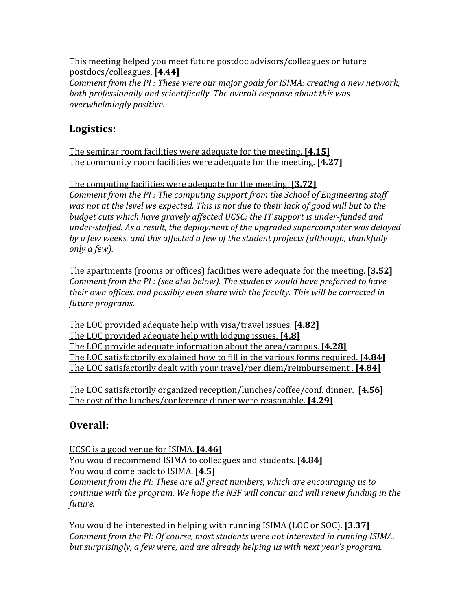This
meeting
helped
you
meet
future
postdoc
advisors/colleagues
or
future postdocs/colleagues. **[4.44]** Comment from the PI: These were our major goals for *ISIMA: creating a new network*, both professionally and scientifically. The overall response about this was *overwhelmingly
positive.* 

### **Logistics:**

The
seminar
room
facilities
were
adequate
for
the
meeting. **[4.15]** The
community
room
facilities
were
adequate
for
the
meeting. **[4.27]**

The
computing
facilities
were
adequate
for
the
meeting. **[3.72]** Comment from the PI: The computing support from the School of Engineering staff was not at the level we expected. This is not due to their lack of good will but to the budget cuts which have gravely affected UCSC: the IT support is under-funded and under-staffed. As a result, the deployment of the upgraded supercomputer was delayed by a few weeks, and this affected a few of the student projects (although, thankfully *only
a
few).* 

The
apartments
(rooms
or
offices)
facilities
were
adequate
for
the
meeting. **[3.52]** Comment from the PI : (see also below). The students would have preferred to have *their
own
offices,
and
possibly
even
share
with
the
faculty.
This
will
be
corrected
in future
programs.* 

The
LOC
provided
adequate
help
with
visa/travel
issues. **[4.82]** The
LOC
provided
adequate
help
with
lodging
issues. **[4.8]** The
LOC
provide
adequate
information
about
the
area/campus. **[4.28]** The
LOC
satisfactorily
explained
how
to
fill
in
the
various
forms
required. **[4.84]** The
LOC
satisfactorily
dealt
with
your
travel/per
diem/reimbursement
. **[4.84]**

The
LOC
satisfactorily
organized
reception/lunches/coffee/conf.
dinner. **[4.56]** The
cost
of
the
lunches/conference
dinner
were
reasonable. **[4.29]**

### **Overall:**

UCSC
is
a
good
venue
for
ISIMA. **[4.46]** You would recommend ISIMA to colleagues and students. **[4.84]** You
would
come
back
to
ISIMA. **[4.5]** Comment from the PI: These are all great numbers, which are encouraging us to continue with the program. We hope the NSF will concur and will renew funding in the *future.*

You would be interested in helping with running ISIMA (LOC or SOC). **[3.37]** Comment from the PI: Of course, most students were not interested in running ISIMA, but surprisingly, a few were, and are already helping us with next year's program.